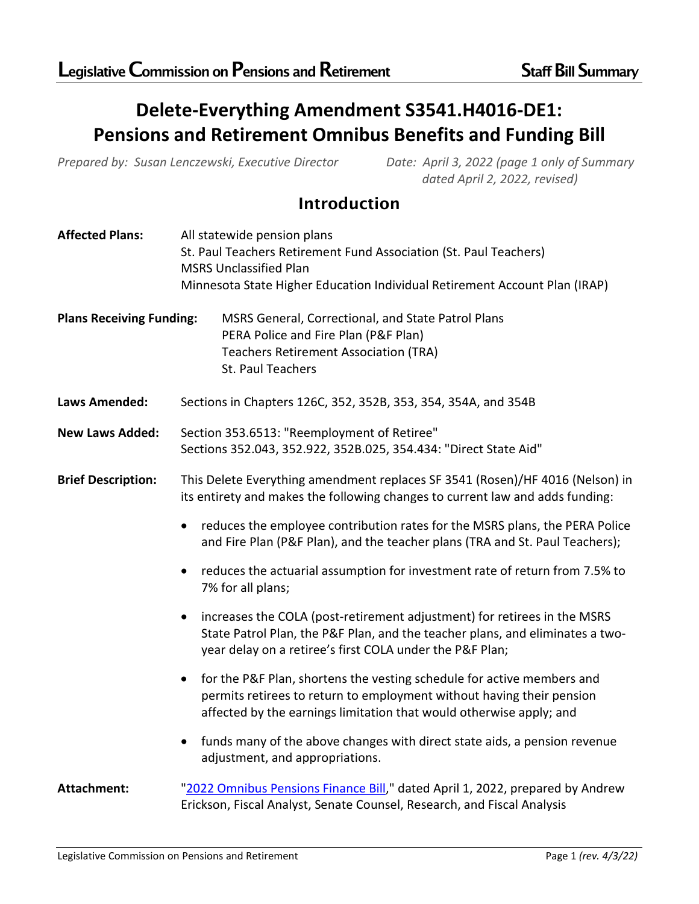# **Delete-Everything Amendment S3541.H4016-DE1: Pensions and Retirement Omnibus Benefits and Funding Bill**

*Prepared by: Susan Lenczewski, Executive Director Date: April 3, 2022 (page 1 only of Summary*

*dated April 2, 2022, revised)*

# Introduction

| <b>Affected Plans:</b>          | All statewide pension plans                                                              |  |
|---------------------------------|------------------------------------------------------------------------------------------|--|
|                                 | St. Paul Teachers Retirement Fund Association (St. Paul Teachers)                        |  |
|                                 | <b>MSRS Unclassified Plan</b>                                                            |  |
|                                 | Minnesota State Higher Education Individual Retirement Account Plan (IRAP)               |  |
| <b>Plans Receiving Funding:</b> | MSRS General, Correctional, and State Patrol Plans                                       |  |
|                                 | PERA Police and Fire Plan (P&F Plan)                                                     |  |
|                                 | <b>Teachers Retirement Association (TRA)</b>                                             |  |
|                                 | St. Paul Teachers                                                                        |  |
|                                 |                                                                                          |  |
| <b>Laws Amended:</b>            | Sections in Chapters 126C, 352, 352B, 353, 354, 354A, and 354B                           |  |
| <b>New Laws Added:</b>          | Section 353.6513: "Reemployment of Retiree"                                              |  |
|                                 | Sections 352.043, 352.922, 352B.025, 354.434: "Direct State Aid"                         |  |
|                                 |                                                                                          |  |
| <b>Brief Description:</b>       | This Delete Everything amendment replaces SF 3541 (Rosen)/HF 4016 (Nelson) in            |  |
|                                 | its entirety and makes the following changes to current law and adds funding:            |  |
|                                 | reduces the employee contribution rates for the MSRS plans, the PERA Police<br>$\bullet$ |  |
|                                 | and Fire Plan (P&F Plan), and the teacher plans (TRA and St. Paul Teachers);             |  |
|                                 | reduces the actuarial assumption for investment rate of return from 7.5% to<br>$\bullet$ |  |
|                                 | 7% for all plans;                                                                        |  |
|                                 | increases the COLA (post-retirement adjustment) for retirees in the MSRS<br>$\bullet$    |  |
|                                 | State Patrol Plan, the P&F Plan, and the teacher plans, and eliminates a two-            |  |
|                                 | year delay on a retiree's first COLA under the P&F Plan;                                 |  |
|                                 |                                                                                          |  |
|                                 | for the P&F Plan, shortens the vesting schedule for active members and<br>$\bullet$      |  |
|                                 | permits retirees to return to employment without having their pension                    |  |
|                                 | affected by the earnings limitation that would otherwise apply; and                      |  |
|                                 | funds many of the above changes with direct state aids, a pension revenue<br>$\bullet$   |  |
|                                 | adjustment, and appropriations.                                                          |  |
|                                 |                                                                                          |  |
| <b>Attachment:</b>              | "2022 Omnibus Pensions Finance Bill," dated April 1, 2022, prepared by Andrew            |  |
|                                 | Erickson, Fiscal Analyst, Senate Counsel, Research, and Fiscal Analysis                  |  |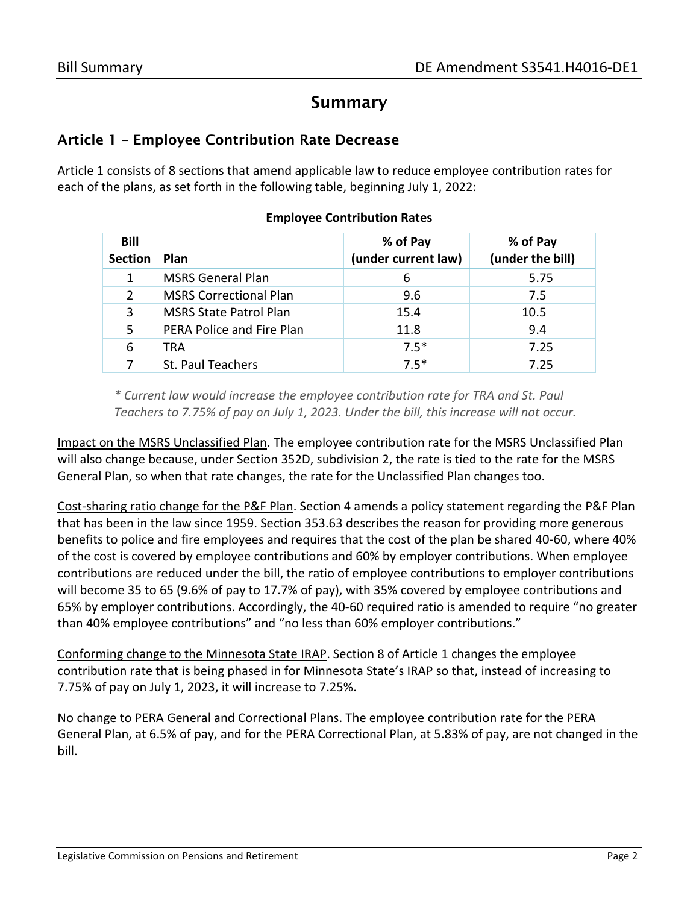## Summary

#### Article 1 – Employee Contribution Rate Decrease

Article 1 consists of 8 sections that amend applicable law to reduce employee contribution rates for each of the plans, as set forth in the following table, beginning July 1, 2022:

| Bill<br><b>Section</b> | <b>Plan</b>                   | % of Pay<br>(under current law) | % of Pay<br>(under the bill) |
|------------------------|-------------------------------|---------------------------------|------------------------------|
|                        | <b>MSRS General Plan</b>      | 6                               | 5.75                         |
| $\mathcal{P}$          | <b>MSRS Correctional Plan</b> | 9.6                             | 7.5                          |
| 3                      | <b>MSRS State Patrol Plan</b> | 15.4                            | 10.5                         |
| 5.                     | PERA Police and Fire Plan     | 11.8                            | 9.4                          |
| 6                      | TRA                           | $7.5*$                          | 7.25                         |
|                        | St. Paul Teachers             | $7.5*$                          | 7.25                         |

#### **Employee Contribution Rates**

*\* Current law would increase the employee contribution rate for TRA and St. Paul Teachers to 7.75% of pay on July 1, 2023. Under the bill, this increase will not occur.* 

Impact on the MSRS Unclassified Plan. The employee contribution rate for the MSRS Unclassified Plan will also change because, under Section 352D, subdivision 2, the rate is tied to the rate for the MSRS General Plan, so when that rate changes, the rate for the Unclassified Plan changes too.

Cost-sharing ratio change for the P&F Plan. Section 4 amends a policy statement regarding the P&F Plan that has been in the law since 1959. Section 353.63 describes the reason for providing more generous benefits to police and fire employees and requires that the cost of the plan be shared 40-60, where 40% of the cost is covered by employee contributions and 60% by employer contributions. When employee contributions are reduced under the bill, the ratio of employee contributions to employer contributions will become 35 to 65 (9.6% of pay to 17.7% of pay), with 35% covered by employee contributions and 65% by employer contributions. Accordingly, the 40-60 required ratio is amended to require "no greater than 40% employee contributions" and "no less than 60% employer contributions."

Conforming change to the Minnesota State IRAP. Section 8 of Article 1 changes the employee contribution rate that is being phased in for Minnesota State's IRAP so that, instead of increasing to 7.75% of pay on July 1, 2023, it will increase to 7.25%.

No change to PERA General and Correctional Plans. The employee contribution rate for the PERA General Plan, at 6.5% of pay, and for the PERA Correctional Plan, at 5.83% of pay, are not changed in the bill.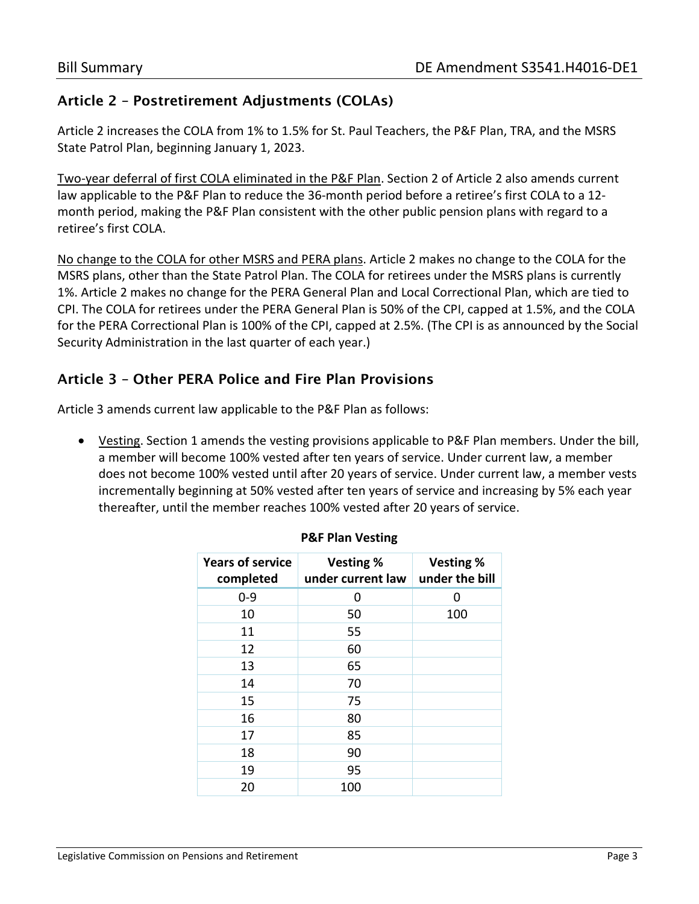## Article 2 – Postretirement Adjustments (COLAs)

Article 2 increases the COLA from 1% to 1.5% for St. Paul Teachers, the P&F Plan, TRA, and the MSRS State Patrol Plan, beginning January 1, 2023.

Two-year deferral of first COLA eliminated in the P&F Plan. Section 2 of Article 2 also amends current law applicable to the P&F Plan to reduce the 36-month period before a retiree's first COLA to a 12 month period, making the P&F Plan consistent with the other public pension plans with regard to a retiree's first COLA.

No change to the COLA for other MSRS and PERA plans. Article 2 makes no change to the COLA for the MSRS plans, other than the State Patrol Plan. The COLA for retirees under the MSRS plans is currently 1%. Article 2 makes no change for the PERA General Plan and Local Correctional Plan, which are tied to CPI. The COLA for retirees under the PERA General Plan is 50% of the CPI, capped at 1.5%, and the COLA for the PERA Correctional Plan is 100% of the CPI, capped at 2.5%. (The CPI is as announced by the Social Security Administration in the last quarter of each year.)

## Article 3 – Other PERA Police and Fire Plan Provisions

Article 3 amends current law applicable to the P&F Plan as follows:

• Vesting. Section 1 amends the vesting provisions applicable to P&F Plan members. Under the bill, a member will become 100% vested after ten years of service. Under current law, a member does not become 100% vested until after 20 years of service. Under current law, a member vests incrementally beginning at 50% vested after ten years of service and increasing by 5% each year thereafter, until the member reaches 100% vested after 20 years of service.

| <b>Years of service</b><br>completed | <b>Vesting %</b><br>under current law | <b>Vesting %</b><br>under the bill |
|--------------------------------------|---------------------------------------|------------------------------------|
| $0 - 9$                              | O                                     | O                                  |
| 10                                   | 50                                    | 100                                |
| 11                                   | 55                                    |                                    |
| 12                                   | 60                                    |                                    |
| 13                                   | 65                                    |                                    |
| 14                                   | 70                                    |                                    |
| 15                                   | 75                                    |                                    |
| 16                                   | 80                                    |                                    |
| 17                                   | 85                                    |                                    |
| 18                                   | 90                                    |                                    |
| 19                                   | 95                                    |                                    |
| 20                                   | 100                                   |                                    |

#### **P&F Plan Vesting**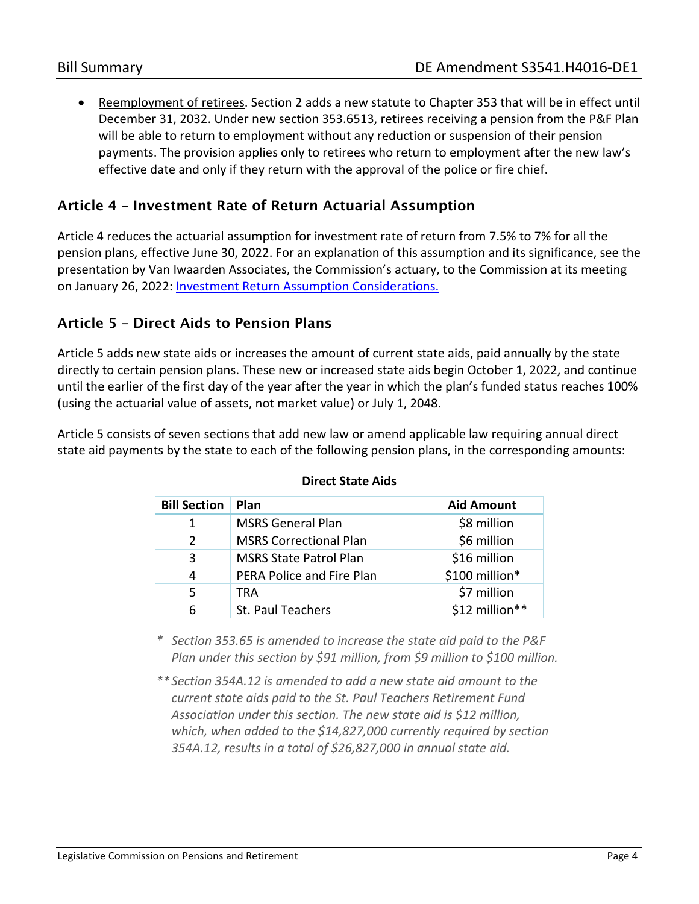• Reemployment of retirees. Section 2 adds a new statute to Chapter 353 that will be in effect until December 31, 2032. Under new section 353.6513, retirees receiving a pension from the P&F Plan will be able to return to employment without any reduction or suspension of their pension payments. The provision applies only to retirees who return to employment after the new law's effective date and only if they return with the approval of the police or fire chief.

## Article 4 – Investment Rate of Return Actuarial Assumption

Article 4 reduces the actuarial assumption for investment rate of return from 7.5% to 7% for all the pension plans, effective June 30, 2022. For an explanation of this assumption and its significance, see the presentation by Van Iwaarden Associates, the Commission's actuary, to the Commission at its meeting on January 26, 2022: **Investment Return Assumption Considerations.** 

## Article 5 – Direct Aids to Pension Plans

Article 5 adds new state aids or increases the amount of current state aids, paid annually by the state directly to certain pension plans. These new or increased state aids begin October 1, 2022, and continue until the earlier of the first day of the year after the year in which the plan's funded status reaches 100% (using the actuarial value of assets, not market value) or July 1, 2048.

Article 5 consists of seven sections that add new law or amend applicable law requiring annual direct state aid payments by the state to each of the following pension plans, in the corresponding amounts:

| <b>Bill Section</b> | Plan                          | <b>Aid Amount</b> |
|---------------------|-------------------------------|-------------------|
|                     |                               |                   |
| 1                   | <b>MSRS General Plan</b>      | \$8 million       |
| 2                   | <b>MSRS Correctional Plan</b> | \$6 million       |
| 3                   | <b>MSRS State Patrol Plan</b> | \$16 million      |
| 4                   | PERA Police and Fire Plan     | \$100 million*    |
| 5.                  | TRA                           | \$7 million       |
| 6                   | St. Paul Teachers             | \$12 million**    |

#### **Direct State Aids**

*\* Section 353.65 is amended to increase the state aid paid to the P&F Plan under this section by \$91 million, from \$9 million to \$100 million.* 

*\*\*Section 354A.12 is amended to add a new state aid amount to the current state aids paid to the St. Paul Teachers Retirement Fund Association under this section. The new state aid is \$12 million, which, when added to the \$14,827,000 currently required by section 354A.12, results in a total of \$26,827,000 in annual state aid.*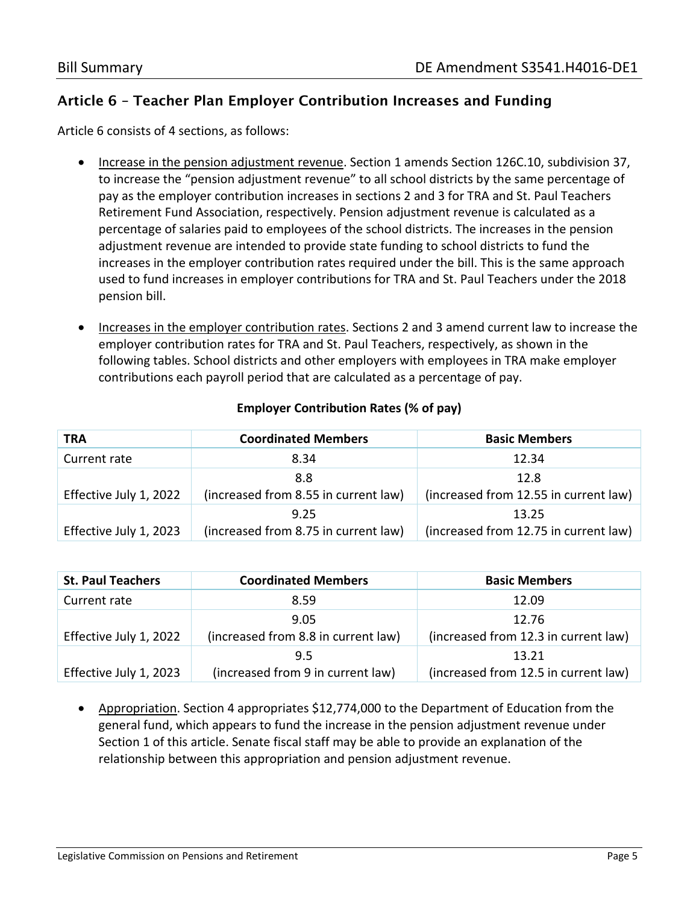## Article 6 – Teacher Plan Employer Contribution Increases and Funding

Article 6 consists of 4 sections, as follows:

- Increase in the pension adjustment revenue. Section 1 amends Section 126C.10, subdivision 37, to increase the "pension adjustment revenue" to all school districts by the same percentage of pay as the employer contribution increases in sections 2 and 3 for TRA and St. Paul Teachers Retirement Fund Association, respectively. Pension adjustment revenue is calculated as a percentage of salaries paid to employees of the school districts. The increases in the pension adjustment revenue are intended to provide state funding to school districts to fund the increases in the employer contribution rates required under the bill. This is the same approach used to fund increases in employer contributions for TRA and St. Paul Teachers under the 2018 pension bill.
- Increases in the employer contribution rates. Sections 2 and 3 amend current law to increase the employer contribution rates for TRA and St. Paul Teachers, respectively, as shown in the following tables. School districts and other employers with employees in TRA make employer contributions each payroll period that are calculated as a percentage of pay.

| <b>TRA</b>             | <b>Coordinated Members</b>           | <b>Basic Members</b>                  |
|------------------------|--------------------------------------|---------------------------------------|
| Current rate           | 8.34                                 | 12.34                                 |
|                        | 8.8                                  | 12.8                                  |
| Effective July 1, 2022 | (increased from 8.55 in current law) | (increased from 12.55 in current law) |
|                        | 9.25                                 | 13.25                                 |
| Effective July 1, 2023 | (increased from 8.75 in current law) | (increased from 12.75 in current law) |

#### **Employer Contribution Rates (% of pay)**

| <b>St. Paul Teachers</b> | <b>Coordinated Members</b>          | <b>Basic Members</b>                 |
|--------------------------|-------------------------------------|--------------------------------------|
| Current rate             | 8.59                                | 12.09                                |
|                          | 9.05                                | 12.76                                |
| Effective July 1, 2022   | (increased from 8.8 in current law) | (increased from 12.3 in current law) |
|                          | 9.5                                 | 13.21                                |
| Effective July 1, 2023   | (increased from 9 in current law)   | (increased from 12.5 in current law) |

• Appropriation. Section 4 appropriates \$12,774,000 to the Department of Education from the general fund, which appears to fund the increase in the pension adjustment revenue under Section 1 of this article. Senate fiscal staff may be able to provide an explanation of the relationship between this appropriation and pension adjustment revenue.